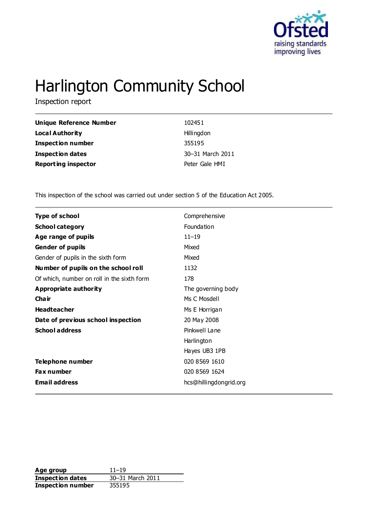

# Harlington Community School

Inspection report

| Unique Reference Number    | 102451           |
|----------------------------|------------------|
| <b>Local Authority</b>     | Hillingdon       |
| <b>Inspection number</b>   | 355195           |
| Inspection dates           | 30-31 March 2011 |
| <b>Reporting inspector</b> | Peter Gale HMI   |

This inspection of the school was carried out under section 5 of the Education Act 2005.

| <b>Type of school</b>                      | Comprehensive          |
|--------------------------------------------|------------------------|
| <b>School category</b>                     | Foundation             |
| Age range of pupils                        | $11 - 19$              |
| <b>Gender of pupils</b>                    | Mixed                  |
| Gender of pupils in the sixth form         | Mixed                  |
| Number of pupils on the school roll        | 1132                   |
| Of which, number on roll in the sixth form | 178                    |
| <b>Appropriate authority</b>               | The governing body     |
| Cha ir                                     | Ms C Mosdell           |
| <b>Headteacher</b>                         | Ms E Horrigan          |
| Date of previous school inspection         | 20 May 2008            |
| <b>School address</b>                      | Pinkwell Lane          |
|                                            | Harlington             |
|                                            | Hayes UB3 1PB          |
| Telephone number                           | 020 8569 1610          |
| <b>Fax number</b>                          | 020 8569 1624          |
| <b>Email address</b>                       | hcs@hillingdongrid.org |

**Age group** 11–19<br> **Inspection dates** 30–31 March 2011 **Inspection dates** 30–31 March 2011 **Inspection number** 355195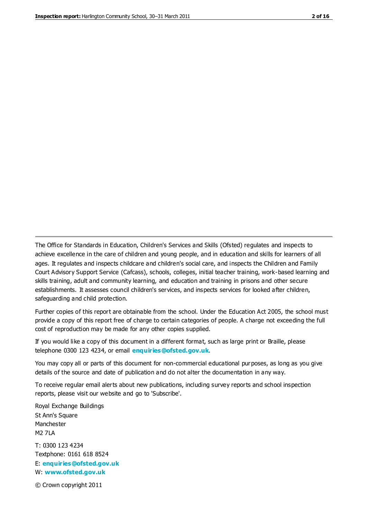The Office for Standards in Education, Children's Services and Skills (Ofsted) regulates and inspects to achieve excellence in the care of children and young people, and in education and skills for learners of all ages. It regulates and inspects childcare and children's social care, and inspects the Children and Family Court Advisory Support Service (Cafcass), schools, colleges, initial teacher training, work-based learning and skills training, adult and community learning, and education and training in prisons and other secure establishments. It assesses council children's services, and inspects services for looked after children, safeguarding and child protection.

Further copies of this report are obtainable from the school. Under the Education Act 2005, the school must provide a copy of this report free of charge to certain categories of people. A charge not exceeding the full cost of reproduction may be made for any other copies supplied.

If you would like a copy of this document in a different format, such as large print or Braille, please telephone 0300 123 4234, or email **[enquiries@ofsted.gov.uk](mailto:enquiries@ofsted.gov.uk)**.

You may copy all or parts of this document for non-commercial educational purposes, as long as you give details of the source and date of publication and do not alter the documentation in any way.

To receive regular email alerts about new publications, including survey reports and school inspection reports, please visit our website and go to 'Subscribe'.

Royal Exchange Buildings St Ann's Square Manchester M2 7LA T: 0300 123 4234 Textphone: 0161 618 8524 E: **[enquiries@ofsted.gov.uk](mailto:enquiries@ofsted.gov.uk)**

W: **[www.ofsted.gov.uk](http://www.ofsted.gov.uk/)**

© Crown copyright 2011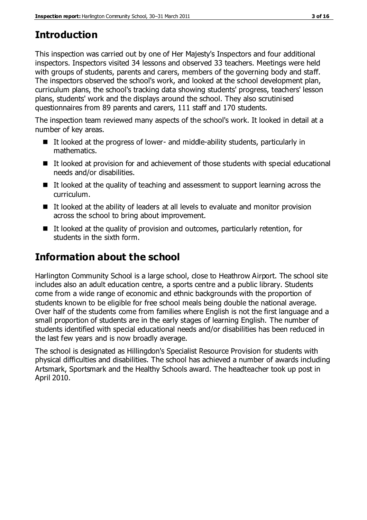# **Introduction**

This inspection was carried out by one of Her Majesty's Inspectors and four additional inspectors. Inspectors visited 34 lessons and observed 33 teachers. Meetings were held with groups of students, parents and carers, members of the governing body and staff. The inspectors observed the school's work, and looked at the school development plan, curriculum plans, the school's tracking data showing students' progress, teachers' lesson plans, students' work and the displays around the school. They also scrutinised questionnaires from 89 parents and carers, 111 staff and 170 students.

The inspection team reviewed many aspects of the school's work. It looked in detail at a number of key areas.

- $\blacksquare$  It looked at the progress of lower- and middle-ability students, particularly in mathematics.
- It looked at provision for and achievement of those students with special educational needs and/or disabilities.
- $\blacksquare$  It looked at the quality of teaching and assessment to support learning across the curriculum.
- $\blacksquare$  It looked at the ability of leaders at all levels to evaluate and monitor provision across the school to bring about improvement.
- $\blacksquare$  It looked at the quality of provision and outcomes, particularly retention, for students in the sixth form.

# **Information about the school**

Harlington Community School is a large school, close to Heathrow Airport. The school site includes also an adult education centre, a sports centre and a public library. Students come from a wide range of economic and ethnic backgrounds with the proportion of students known to be eligible for free school meals being double the national average. Over half of the students come from families where English is not the first language and a small proportion of students are in the early stages of learning English. The number of students identified with special educational needs and/or disabilities has been reduced in the last few years and is now broadly average.

The school is designated as Hillingdon's Specialist Resource Provision for students with physical difficulties and disabilities. The school has achieved a number of awards including Artsmark, Sportsmark and the Healthy Schools award. The headteacher took up post in April 2010.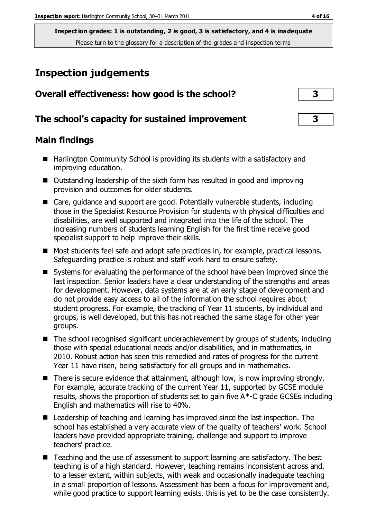## **Inspection judgements**

| Overall effectiveness: how good is the school?  | З |
|-------------------------------------------------|---|
| The school's capacity for sustained improvement | 3 |
| <b>Main findings</b>                            |   |

- Harlington Community School is providing its students with a satisfactory and improving education.
- Outstanding leadership of the sixth form has resulted in good and improving provision and outcomes for older students.
- Care, guidance and support are good. Potentially vulnerable students, including those in the Specialist Resource Provision for students with physical difficulties and disabilities, are well supported and integrated into the life of the school. The increasing numbers of students learning English for the first time receive good specialist support to help improve their skills.
- Most students feel safe and adopt safe practices in, for example, practical lessons. Safeguarding practice is robust and staff work hard to ensure safety.
- Systems for evaluating the performance of the school have been improved since the last inspection. Senior leaders have a clear understanding of the strengths and areas for development. However, data systems are at an early stage of development and do not provide easy access to all of the information the school requires about student progress. For example, the tracking of Year 11 students, by individual and groups, is well developed, but this has not reached the same stage for other year groups.
- The school recognised significant underachievement by groups of students, including those with special educational needs and/or disabilities, and in mathematics, in 2010. Robust action has seen this remedied and rates of progress for the current Year 11 have risen, being satisfactory for all groups and in mathematics.
- There is secure evidence that attainment, although low, is now improving strongly. For example, accurate tracking of the current Year 11, supported by GCSE module results, shows the proportion of students set to gain five A\*-C grade GCSEs including English and mathematics will rise to 40%.
- Leadership of teaching and learning has improved since the last inspection. The school has established a very accurate view of the quality of teachers' work. School leaders have provided appropriate training, challenge and support to improve teachers' practice.
- Teaching and the use of assessment to support learning are satisfactory. The best teaching is of a high standard. However, teaching remains inconsistent across and, to a lesser extent, within subjects, with weak and occasionally inadequate teaching in a small proportion of lessons. Assessment has been a focus for improvement and, while good practice to support learning exists, this is yet to be the case consistently.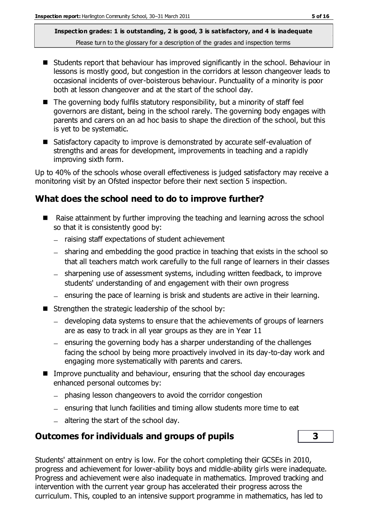- Students report that behaviour has improved significantly in the school. Behaviour in lessons is mostly good, but congestion in the corridors at lesson changeover leads to occasional incidents of over-boisterous behaviour. Punctuality of a minority is poor both at lesson changeover and at the start of the school day.
- $\blacksquare$  The governing body fulfils statutory responsibility, but a minority of staff feel governors are distant, being in the school rarely. The governing body engages with parents and carers on an ad hoc basis to shape the direction of the school, but this is yet to be systematic.
- Satisfactory capacity to improve is demonstrated by accurate self-evaluation of strengths and areas for development, improvements in teaching and a rapidly improving sixth form.

Up to 40% of the schools whose overall effectiveness is judged satisfactory may receive a monitoring visit by an Ofsted inspector before their next section 5 inspection.

#### **What does the school need to do to improve further?**

- Raise attainment by further improving the teaching and learning across the school so that it is consistently good by:
	- $-$  raising staff expectations of student achievement
	- sharing and embedding the good practice in teaching that exists in the school so that all teachers match work carefully to the full range of learners in their classes
	- sharpening use of assessment systems, including written feedback, to improve students' understanding of and engagement with their own progress
	- ensuring the pace of learning is brisk and students are active in their learning.  $\equiv$
- Strengthen the strategic leadership of the school by:
	- developing data systems to ensure that the achievements of groups of learners are as easy to track in all year groups as they are in Year 11
	- $=$  ensuring the governing body has a sharper understanding of the challenges facing the school by being more proactively involved in its day-to-day work and engaging more systematically with parents and carers.
- **IMPROVE PUNCTUALITY AND DEVITABLE THEORY CONTINGLY INTER** Improve punctuality and behaviour, ensuring that the school day encourages enhanced personal outcomes by:
	- phasing lesson changeovers to avoid the corridor congestion
	- $-$  ensuring that lunch facilities and timing allow students more time to eat
	- $-$  altering the start of the school day.

#### **Outcomes for individuals and groups of pupils 3**

Students' attainment on entry is low. For the cohort completing their GCSEs in 2010, progress and achievement for lower-ability boys and middle-ability girls were inadequate. Progress and achievement were also inadequate in mathematics. Improved tracking and intervention with the current year group has accelerated their progress across the curriculum. This, coupled to an intensive support programme in mathematics, has led to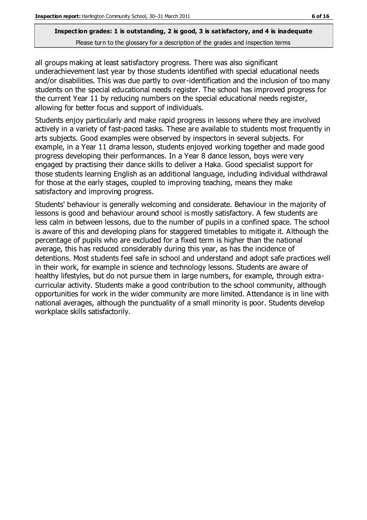# **Inspection grades: 1 is outstanding, 2 is good, 3 is satisfactory, and 4 is inadequate**

Please turn to the glossary for a description of the grades and inspection terms

all groups making at least satisfactory progress. There was also significant underachievement last year by those students identified with special educational needs and/or disabilities. This was due partly to over-identification and the inclusion of too many students on the special educational needs register. The school has improved progress for the current Year 11 by reducing numbers on the special educational needs register, allowing for better focus and support of individuals.

Students enjoy particularly and make rapid progress in lessons where they are involved actively in a variety of fast-paced tasks. These are available to students most frequently in arts subjects. Good examples were observed by inspectors in several subjects. For example, in a Year 11 drama lesson, students enjoyed working together and made good progress developing their performances. In a Year 8 dance lesson, boys were very engaged by practising their dance skills to deliver a Haka. Good specialist support for those students learning English as an additional language, including individual withdrawal for those at the early stages, coupled to improving teaching, means they make satisfactory and improving progress.

Students' behaviour is generally welcoming and considerate. Behaviour in the majority of lessons is good and behaviour around school is mostly satisfactory. A few students are less calm in between lessons, due to the number of pupils in a confined space. The school is aware of this and developing plans for staggered timetables to mitigate it. Although the percentage of pupils who are excluded for a fixed term is higher than the national average, this has reduced considerably during this year, as has the incidence of detentions. Most students feel safe in school and understand and adopt safe practices well in their work, for example in science and technology lessons. Students are aware of healthy lifestyles, but do not pursue them in large numbers, for example, through extracurricular activity. Students make a good contribution to the school community, although opportunities for work in the wider community are more limited. Attendance is in line with national averages, although the punctuality of a small minority is poor. Students develop workplace skills satisfactorily.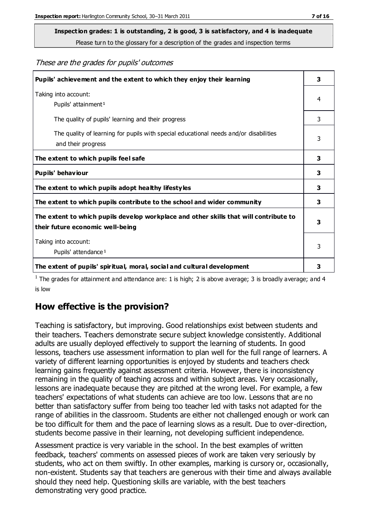# **Inspection grades: 1 is outstanding, 2 is good, 3 is satisfactory, and 4 is inadequate**

Please turn to the glossary for a description of the grades and inspection terms

#### These are the grades for pupils' outcomes

| Pupils' achievement and the extent to which they enjoy their learning                                                     | 3 |
|---------------------------------------------------------------------------------------------------------------------------|---|
| Taking into account:<br>Pupils' attainment <sup>1</sup>                                                                   | 4 |
| The quality of pupils' learning and their progress                                                                        | 3 |
| The quality of learning for pupils with special educational needs and/or disabilities<br>and their progress               | 3 |
| The extent to which pupils feel safe                                                                                      | 3 |
| Pupils' behaviour                                                                                                         | 3 |
| The extent to which pupils adopt healthy lifestyles                                                                       | 3 |
| The extent to which pupils contribute to the school and wider community                                                   | 3 |
| The extent to which pupils develop workplace and other skills that will contribute to<br>their future economic well-being |   |
| Taking into account:<br>Pupils' attendance <sup>1</sup>                                                                   | 3 |
| The extent of pupils' spiritual, moral, social and cultural development                                                   | 3 |

<sup>1</sup> The grades for attainment and attendance are: 1 is high; 2 is above average; 3 is broadly average; and 4 is low

#### **How effective is the provision?**

Teaching is satisfactory, but improving. Good relationships exist between students and their teachers. Teachers demonstrate secure subject knowledge consistently. Additional adults are usually deployed effectively to support the learning of students. In good lessons, teachers use assessment information to plan well for the full range of learners. A variety of different learning opportunities is enjoyed by students and teachers check learning gains frequently against assessment criteria. However, there is inconsistency remaining in the quality of teaching across and within subject areas. Very occasionally, lessons are inadequate because they are pitched at the wrong level. For example, a few teachers' expectations of what students can achieve are too low. Lessons that are no better than satisfactory suffer from being too teacher led with tasks not adapted for the range of abilities in the classroom. Students are either not challenged enough or work can be too difficult for them and the pace of learning slows as a result. Due to over-direction, students become passive in their learning, not developing sufficient independence.

Assessment practice is very variable in the school. In the best examples of written feedback, teachers' comments on assessed pieces of work are taken very seriously by students, who act on them swiftly. In other examples, marking is cursory or, occasionally, non-existent. Students say that teachers are generous with their time and always available should they need help. Questioning skills are variable, with the best teachers demonstrating very good practice.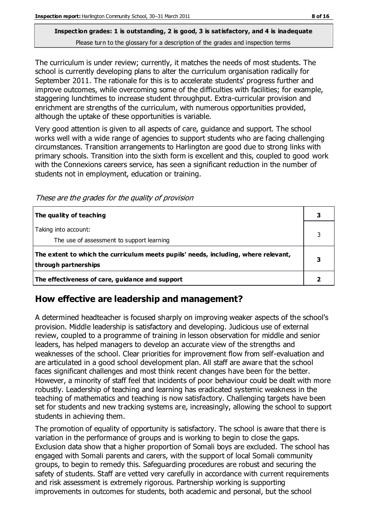The curriculum is under review; currently, it matches the needs of most students. The school is currently developing plans to alter the curriculum organisation radically for September 2011. The rationale for this is to accelerate students' progress further and improve outcomes, while overcoming some of the difficulties with facilities; for example, staggering lunchtimes to increase student throughput. Extra-curricular provision and enrichment are strengths of the curriculum, with numerous opportunities provided, although the uptake of these opportunities is variable.

Very good attention is given to all aspects of care, guidance and support. The school works well with a wide range of agencies to support students who are facing challenging circumstances. Transition arrangements to Harlington are good due to strong links with primary schools. Transition into the sixth form is excellent and this, coupled to good work with the Connexions careers service, has seen a significant reduction in the number of students not in employment, education or training.

These are the grades for the quality of provision

| The quality of teaching                                                                                    |  |
|------------------------------------------------------------------------------------------------------------|--|
| Taking into account:<br>The use of assessment to support learning                                          |  |
| The extent to which the curriculum meets pupils' needs, including, where relevant,<br>through partnerships |  |
| The effectiveness of care, guidance and support                                                            |  |

#### **How effective are leadership and management?**

A determined headteacher is focused sharply on improving weaker aspects of the school's provision. Middle leadership is satisfactory and developing. Judicious use of external review, coupled to a programme of training in lesson observation for middle and senior leaders, has helped managers to develop an accurate view of the strengths and weaknesses of the school. Clear priorities for improvement flow from self-evaluation and are articulated in a good school development plan. All staff are aware that the school faces significant challenges and most think recent changes have been for the better. However, a minority of staff feel that incidents of poor behaviour could be dealt with more robustly. Leadership of teaching and learning has eradicated systemic weakness in the teaching of mathematics and teaching is now satisfactory. Challenging targets have been set for students and new tracking systems are, increasingly, allowing the school to support students in achieving them.

The promotion of equality of opportunity is satisfactory. The school is aware that there is variation in the performance of groups and is working to begin to close the gaps. Exclusion data show that a higher proportion of Somali boys are excluded. The school has engaged with Somali parents and carers, with the support of local Somali community groups, to begin to remedy this. Safeguarding procedures are robust and securing the safety of students. Staff are vetted very carefully in accordance with current requirements and risk assessment is extremely rigorous. Partnership working is supporting improvements in outcomes for students, both academic and personal, but the school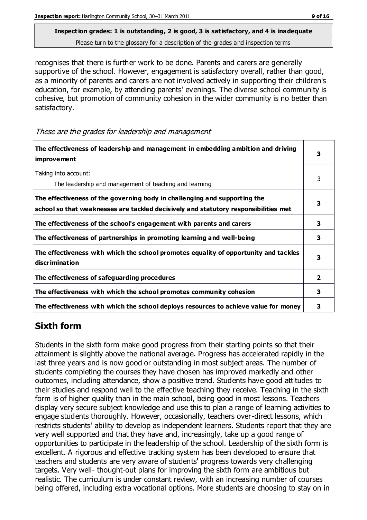recognises that there is further work to be done. Parents and carers are generally supportive of the school. However, engagement is satisfactory overall, rather than good, as a minority of parents and carers are not involved actively in supporting their children's education, for example, by attending parents' evenings. The diverse school community is cohesive, but promotion of community cohesion in the wider community is no better than satisfactory.

These are the grades for leadership and management

| The effectiveness of leadership and management in embedding ambition and driving<br>improvement                                                                  | 3 |
|------------------------------------------------------------------------------------------------------------------------------------------------------------------|---|
| Taking into account:<br>The leadership and management of teaching and learning                                                                                   | 3 |
| The effectiveness of the governing body in challenging and supporting the<br>school so that weaknesses are tackled decisively and statutory responsibilities met | 3 |
| The effectiveness of the school's engagement with parents and carers                                                                                             | 3 |
| The effectiveness of partnerships in promoting learning and well-being                                                                                           | 3 |
| The effectiveness with which the school promotes equality of opportunity and tackles<br>discrimination                                                           | 3 |
| The effectiveness of safeguarding procedures                                                                                                                     | 2 |
| The effectiveness with which the school promotes community cohesion                                                                                              | 3 |
| The effectiveness with which the school deploys resources to achieve value for money                                                                             | з |

#### **Sixth form**

Students in the sixth form make good progress from their starting points so that their attainment is slightly above the national average. Progress has accelerated rapidly in the last three years and is now good or outstanding in most subject areas. The number of students completing the courses they have chosen has improved markedly and other outcomes, including attendance, show a positive trend. Students have good attitudes to their studies and respond well to the effective teaching they receive. Teaching in the sixth form is of higher quality than in the main school, being good in most lessons. Teachers display very secure subject knowledge and use this to plan a range of learning activities to engage students thoroughly. However, occasionally, teachers over-direct lessons, which restricts students' ability to develop as independent learners. Students report that they are very well supported and that they have and, increasingly, take up a good range of opportunities to participate in the leadership of the school. Leadership of the sixth form is excellent. A rigorous and effective tracking system has been developed to ensure that teachers and students are very aware of students' progress towards very challenging targets. Very well- thought-out plans for improving the sixth form are ambitious but realistic. The curriculum is under constant review, with an increasing number of courses being offered, including extra vocational options. More students are choosing to stay on in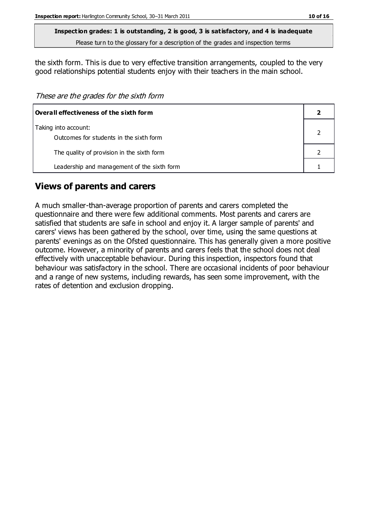the sixth form. This is due to very effective transition arrangements, coupled to the very

good relationships potential students enjoy with their teachers in the main school.

These are the grades for the sixth form

| $\mid$ Overall effectiveness of the sixth form                  |  |
|-----------------------------------------------------------------|--|
| Taking into account:<br>Outcomes for students in the sixth form |  |
| The quality of provision in the sixth form                      |  |
| Leadership and management of the sixth form                     |  |

#### **Views of parents and carers**

A much smaller-than-average proportion of parents and carers completed the questionnaire and there were few additional comments. Most parents and carers are satisfied that students are safe in school and enjoy it. A larger sample of parents' and carers' views has been gathered by the school, over time, using the same questions at parents' evenings as on the Ofsted questionnaire. This has generally given a more positive outcome. However, a minority of parents and carers feels that the school does not deal effectively with unacceptable behaviour. During this inspection, inspectors found that behaviour was satisfactory in the school. There are occasional incidents of poor behaviour and a range of new systems, including rewards, has seen some improvement, with the rates of detention and exclusion dropping.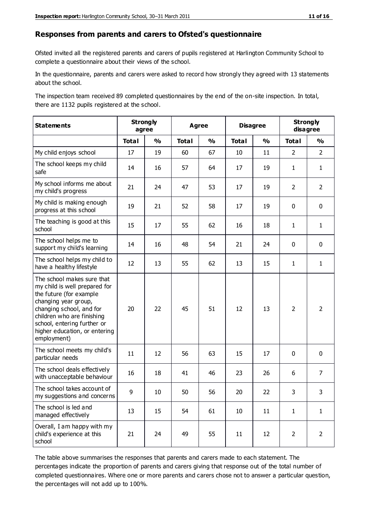#### **Responses from parents and carers to Ofsted's questionnaire**

Ofsted invited all the registered parents and carers of pupils registered at Harlington Community School to complete a questionnaire about their views of the school.

In the questionnaire, parents and carers were asked to record how strongly they agreed with 13 statements about the school.

The inspection team received 89 completed questionnaires by the end of the on-site inspection. In total, there are 1132 pupils registered at the school.

| <b>Statements</b>                                                                                                                                                                                                                                       | <b>Strongly</b><br>agree |                         | <b>Disagree</b><br><b>Agree</b> |               |              | <b>Strongly</b><br>disagree |                |                |
|---------------------------------------------------------------------------------------------------------------------------------------------------------------------------------------------------------------------------------------------------------|--------------------------|-------------------------|---------------------------------|---------------|--------------|-----------------------------|----------------|----------------|
|                                                                                                                                                                                                                                                         | <b>Total</b>             | $\mathbf{O}/\mathbf{o}$ | <b>Total</b>                    | $\frac{1}{2}$ | <b>Total</b> | $\frac{1}{2}$               | <b>Total</b>   | $\frac{1}{2}$  |
| My child enjoys school                                                                                                                                                                                                                                  | 17                       | 19                      | 60                              | 67            | 10           | 11                          | $\overline{2}$ | $\overline{2}$ |
| The school keeps my child<br>safe                                                                                                                                                                                                                       | 14                       | 16                      | 57                              | 64            | 17           | 19                          | 1              | $\mathbf{1}$   |
| My school informs me about<br>my child's progress                                                                                                                                                                                                       | 21                       | 24                      | 47                              | 53            | 17           | 19                          | $\overline{2}$ | $\overline{2}$ |
| My child is making enough<br>progress at this school                                                                                                                                                                                                    | 19                       | 21                      | 52                              | 58            | 17           | 19                          | $\mathbf 0$    | $\mathbf 0$    |
| The teaching is good at this<br>school                                                                                                                                                                                                                  | 15                       | 17                      | 55                              | 62            | 16           | 18                          | $\mathbf{1}$   | $\mathbf{1}$   |
| The school helps me to<br>support my child's learning                                                                                                                                                                                                   | 14                       | 16                      | 48                              | 54            | 21           | 24                          | 0              | $\mathbf 0$    |
| The school helps my child to<br>have a healthy lifestyle                                                                                                                                                                                                | 12                       | 13                      | 55                              | 62            | 13           | 15                          | $\mathbf{1}$   | $\mathbf{1}$   |
| The school makes sure that<br>my child is well prepared for<br>the future (for example<br>changing year group,<br>changing school, and for<br>children who are finishing<br>school, entering further or<br>higher education, or entering<br>employment) | 20                       | 22                      | 45                              | 51            | 12           | 13                          | $\overline{2}$ | $\overline{2}$ |
| The school meets my child's<br>particular needs                                                                                                                                                                                                         | 11                       | 12                      | 56                              | 63            | 15           | 17                          | $\mathbf 0$    | $\mathbf 0$    |
| The school deals effectively<br>with unacceptable behaviour                                                                                                                                                                                             | 16                       | 18                      | 41                              | 46            | 23           | 26                          | 6              | $\overline{7}$ |
| The school takes account of<br>my suggestions and concerns                                                                                                                                                                                              | 9                        | 10                      | 50                              | 56            | 20           | 22                          | 3              | 3              |
| The school is led and<br>managed effectively                                                                                                                                                                                                            | 13                       | 15                      | 54                              | 61            | $10\,$       | 11                          | $\mathbf{1}$   | $\mathbf{1}$   |
| Overall, I am happy with my<br>child's experience at this<br>school                                                                                                                                                                                     | 21                       | 24                      | 49                              | 55            | 11           | 12                          | $\overline{2}$ | $\overline{2}$ |

The table above summarises the responses that parents and carers made to each statement. The percentages indicate the proportion of parents and carers giving that response out of the total number of completed questionnaires. Where one or more parents and carers chose not to answer a particular question, the percentages will not add up to 100%.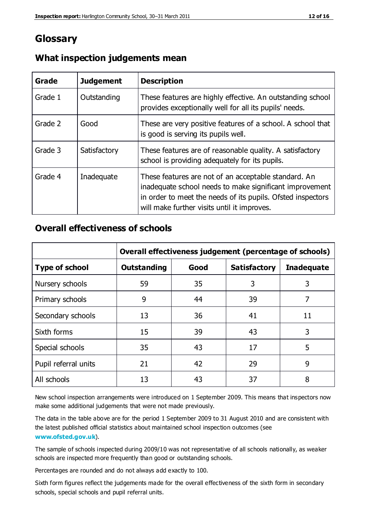### **Glossary**

| Grade   | <b>Judgement</b> | <b>Description</b>                                                                                                                                                                                                            |
|---------|------------------|-------------------------------------------------------------------------------------------------------------------------------------------------------------------------------------------------------------------------------|
| Grade 1 | Outstanding      | These features are highly effective. An outstanding school<br>provides exceptionally well for all its pupils' needs.                                                                                                          |
| Grade 2 | Good             | These are very positive features of a school. A school that<br>is good is serving its pupils well.                                                                                                                            |
| Grade 3 | Satisfactory     | These features are of reasonable quality. A satisfactory<br>school is providing adequately for its pupils.                                                                                                                    |
| Grade 4 | Inadequate       | These features are not of an acceptable standard. An<br>inadequate school needs to make significant improvement<br>in order to meet the needs of its pupils. Ofsted inspectors<br>will make further visits until it improves. |

#### **What inspection judgements mean**

#### **Overall effectiveness of schools**

|                       | Overall effectiveness judgement (percentage of schools) |      |                     |                   |
|-----------------------|---------------------------------------------------------|------|---------------------|-------------------|
| <b>Type of school</b> | <b>Outstanding</b>                                      | Good | <b>Satisfactory</b> | <b>Inadequate</b> |
| Nursery schools       | 59                                                      | 35   | 3                   | 3                 |
| Primary schools       | 9                                                       | 44   | 39                  | 7                 |
| Secondary schools     | 13                                                      | 36   | 41                  | 11                |
| Sixth forms           | 15                                                      | 39   | 43                  | 3                 |
| Special schools       | 35                                                      | 43   | 17                  | 5                 |
| Pupil referral units  | 21                                                      | 42   | 29                  | 9                 |
| All schools           | 13                                                      | 43   | 37                  | 8                 |

New school inspection arrangements were introduced on 1 September 2009. This means that inspectors now make some additional judgements that were not made previously.

The data in the table above are for the period 1 September 2009 to 31 August 2010 and are consistent with the latest published official statistics about maintained school inspection outcomes (see **[www.ofsted.gov.uk](http://www.ofsted.gov.uk/)**).

The sample of schools inspected during 2009/10 was not representative of all schools nationally, as weaker schools are inspected more frequently than good or outstanding schools.

Percentages are rounded and do not always add exactly to 100.

Sixth form figures reflect the judgements made for the overall effectiveness of the sixth form in secondary schools, special schools and pupil referral units.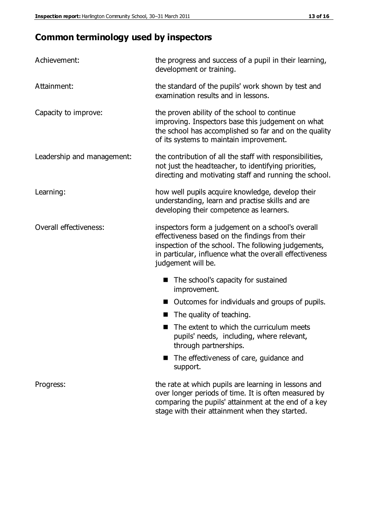## **Common terminology used by inspectors**

| Achievement:               | the progress and success of a pupil in their learning,<br>development or training.                                                                                                                                                          |  |  |
|----------------------------|---------------------------------------------------------------------------------------------------------------------------------------------------------------------------------------------------------------------------------------------|--|--|
| Attainment:                | the standard of the pupils' work shown by test and<br>examination results and in lessons.                                                                                                                                                   |  |  |
| Capacity to improve:       | the proven ability of the school to continue<br>improving. Inspectors base this judgement on what<br>the school has accomplished so far and on the quality<br>of its systems to maintain improvement.                                       |  |  |
| Leadership and management: | the contribution of all the staff with responsibilities,<br>not just the headteacher, to identifying priorities,<br>directing and motivating staff and running the school.                                                                  |  |  |
| Learning:                  | how well pupils acquire knowledge, develop their<br>understanding, learn and practise skills and are<br>developing their competence as learners.                                                                                            |  |  |
| Overall effectiveness:     | inspectors form a judgement on a school's overall<br>effectiveness based on the findings from their<br>inspection of the school. The following judgements,<br>in particular, influence what the overall effectiveness<br>judgement will be. |  |  |
|                            | The school's capacity for sustained<br>improvement.                                                                                                                                                                                         |  |  |
|                            | Outcomes for individuals and groups of pupils.                                                                                                                                                                                              |  |  |
|                            | The quality of teaching.                                                                                                                                                                                                                    |  |  |
|                            | The extent to which the curriculum meets<br>pupils' needs, including, where relevant,<br>through partnerships.                                                                                                                              |  |  |
|                            | The effectiveness of care, guidance and<br>support.                                                                                                                                                                                         |  |  |
| Progress:                  | the rate at which pupils are learning in lessons and<br>over longer periods of time. It is often measured by<br>comparing the pupils' attainment at the end of a key                                                                        |  |  |

stage with their attainment when they started.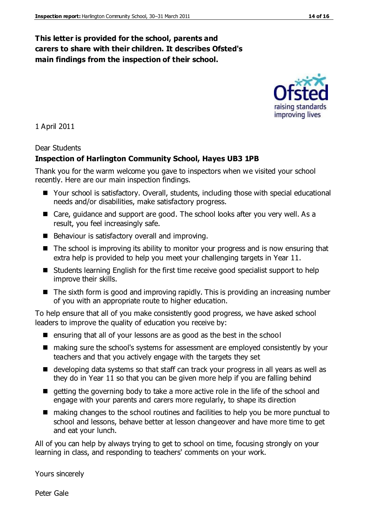#### **This letter is provided for the school, parents and carers to share with their children. It describes Ofsted's main findings from the inspection of their school.**

improving lives

1 April 2011

#### Dear Students

#### **Inspection of Harlington Community School, Hayes UB3 1PB**

Thank you for the warm welcome you gave to inspectors when we visited your school recently. Here are our main inspection findings.

- Your school is satisfactory. Overall, students, including those with special educational needs and/or disabilities, make satisfactory progress.
- Care, guidance and support are good. The school looks after you very well. As a result, you feel increasingly safe.
- Behaviour is satisfactory overall and improving.
- The school is improving its ability to monitor your progress and is now ensuring that extra help is provided to help you meet your challenging targets in Year 11.
- Students learning English for the first time receive good specialist support to help improve their skills.
- The sixth form is good and improving rapidly. This is providing an increasing number of you with an appropriate route to higher education.

To help ensure that all of you make consistently good progress, we have asked school leaders to improve the quality of education you receive by:

- $\blacksquare$  ensuring that all of your lessons are as good as the best in the school
- making sure the school's systems for assessment are employed consistently by your teachers and that you actively engage with the targets they set
- developing data systems so that staff can track your progress in all years as well as they do in Year 11 so that you can be given more help if you are falling behind
- $\blacksquare$  getting the governing body to take a more active role in the life of the school and engage with your parents and carers more regularly, to shape its direction
- making changes to the school routines and facilities to help you be more punctual to school and lessons, behave better at lesson changeover and have more time to get and eat your lunch.

All of you can help by always trying to get to school on time, focusing strongly on your learning in class, and responding to teachers' comments on your work.

Yours sincerely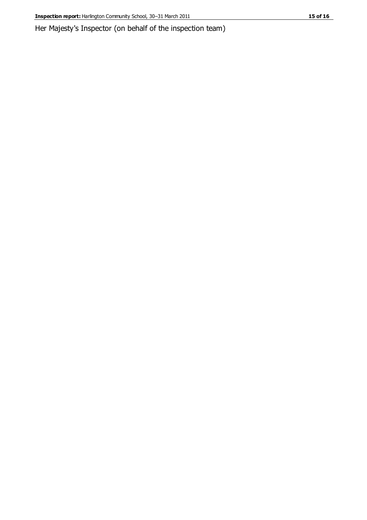Her Majesty's Inspector (on behalf of the inspection team)